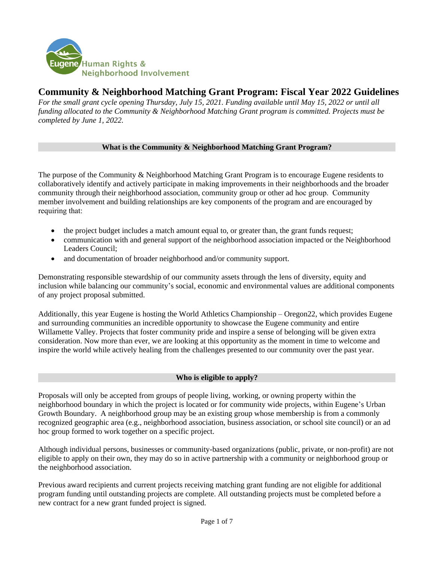

# **Community & Neighborhood Matching Grant Program: Fiscal Year 2022 Guidelines**

*For the small grant cycle opening Thursday, July 15, 2021. Funding available until May 15, 2022 or until all funding allocated to the Community & Neighborhood Matching Grant program is committed. Projects must be completed by June 1, 2022.*

# **What is the Community & Neighborhood Matching Grant Program?**

The purpose of the Community & Neighborhood Matching Grant Program is to encourage Eugene residents to collaboratively identify and actively participate in making improvements in their neighborhoods and the broader community through their neighborhood association, community group or other ad hoc group. Community member involvement and building relationships are key components of the program and are encouraged by requiring that:

- the project budget includes a match amount equal to, or greater than, the grant funds request;
- communication with and general support of the neighborhood association impacted or the Neighborhood Leaders Council;
- and documentation of broader neighborhood and/or community support.

Demonstrating responsible stewardship of our community assets through the lens of diversity, equity and inclusion while balancing our community's social, economic and environmental values are additional components of any project proposal submitted.

Additionally, this year Eugene is hosting the World Athletics Championship – Oregon22, which provides Eugene and surrounding communities an incredible opportunity to showcase the Eugene community and entire Willamette Valley. Projects that foster community pride and inspire a sense of belonging will be given extra consideration. Now more than ever, we are looking at this opportunity as the moment in time to welcome and inspire the world while actively healing from the challenges presented to our community over the past year.

# **Who is eligible to apply?**

Proposals will only be accepted from groups of people living, working, or owning property within the neighborhood boundary in which the project is located or for community wide projects, within Eugene's Urban Growth Boundary. A neighborhood group may be an existing group whose membership is from a commonly recognized geographic area (e.g., neighborhood association, business association, or school site council) or an ad hoc group formed to work together on a specific project.

Although individual persons, businesses or community-based organizations (public, private, or non-profit) are not eligible to apply on their own, they may do so in active partnership with a community or neighborhood group or the neighborhood association.

Previous award recipients and current projects receiving matching grant funding are not eligible for additional program funding until outstanding projects are complete. All outstanding projects must be completed before a new contract for a new grant funded project is signed.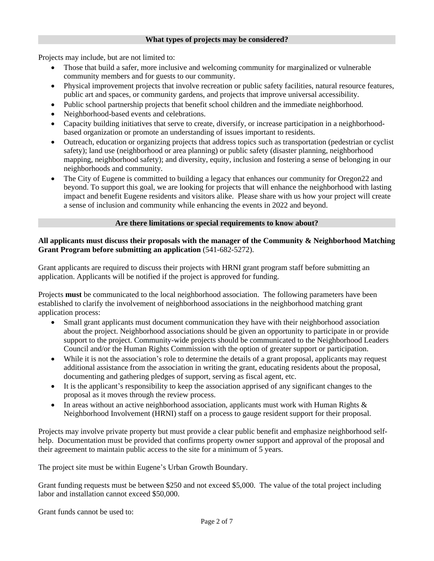#### **What types of projects may be considered?**

Projects may include, but are not limited to:

- Those that build a safer, more inclusive and welcoming community for marginalized or vulnerable community members and for guests to our community.
- Physical improvement projects that involve recreation or public safety facilities, natural resource features, public art and spaces, or community gardens, and projects that improve universal accessibility.
- Public school partnership projects that benefit school children and the immediate neighborhood.
- Neighborhood-based events and celebrations.
- Capacity building initiatives that serve to create, diversify, or increase participation in a neighborhoodbased organization or promote an understanding of issues important to residents.
- Outreach, education or organizing projects that address topics such as transportation (pedestrian or cyclist safety); land use (neighborhood or area planning) or public safety (disaster planning, neighborhood mapping, neighborhood safety); and diversity, equity, inclusion and fostering a sense of belonging in our neighborhoods and community.
- The City of Eugene is committed to building a legacy that enhances our community for Oregon22 and beyond. To support this goal, we are looking for projects that will enhance the neighborhood with lasting impact and benefit Eugene residents and visitors alike. Please share with us how your project will create a sense of inclusion and community while enhancing the events in 2022 and beyond.

#### **Are there limitations or special requirements to know about?**

### **All applicants must discuss their proposals with the manager of the Community & Neighborhood Matching Grant Program before submitting an application** (541-682-5272).

Grant applicants are required to discuss their projects with HRNI grant program staff before submitting an application. Applicants will be notified if the project is approved for funding.

Projects **must** be communicated to the local neighborhood association. The following parameters have been established to clarify the involvement of neighborhood associations in the neighborhood matching grant application process:

- Small grant applicants must document communication they have with their neighborhood association about the project. Neighborhood associations should be given an opportunity to participate in or provide support to the project. Community-wide projects should be communicated to the Neighborhood Leaders Council and/or the Human Rights Commission with the option of greater support or participation.
- While it is not the association's role to determine the details of a grant proposal, applicants may request additional assistance from the association in writing the grant, educating residents about the proposal, documenting and gathering pledges of support, serving as fiscal agent, etc.
- It is the applicant's responsibility to keep the association apprised of any significant changes to the proposal as it moves through the review process.
- In areas without an active neighborhood association, applicants must work with Human Rights  $\&$ Neighborhood Involvement (HRNI) staff on a process to gauge resident support for their proposal.

Projects may involve private property but must provide a clear public benefit and emphasize neighborhood selfhelp. Documentation must be provided that confirms property owner support and approval of the proposal and their agreement to maintain public access to the site for a minimum of 5 years.

The project site must be within Eugene's Urban Growth Boundary.

Grant funding requests must be between \$250 and not exceed \$5,000. The value of the total project including labor and installation cannot exceed \$50,000.

Grant funds cannot be used to: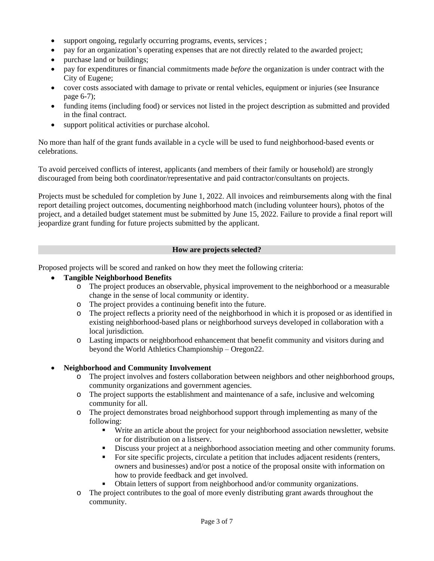- support ongoing, regularly occurring programs, events, services ;
- pay for an organization's operating expenses that are not directly related to the awarded project;
- purchase land or buildings;
- pay for expenditures or financial commitments made *before* the organization is under contract with the City of Eugene;
- cover costs associated with damage to private or rental vehicles, equipment or injuries (see Insurance page 6-7);
- funding items (including food) or services not listed in the project description as submitted and provided in the final contract.
- support political activities or purchase alcohol.

No more than half of the grant funds available in a cycle will be used to fund neighborhood-based events or celebrations.

To avoid perceived conflicts of interest, applicants (and members of their family or household) are strongly discouraged from being both coordinator/representative and paid contractor/consultants on projects.

Projects must be scheduled for completion by June 1, 2022. All invoices and reimbursements along with the final report detailing project outcomes, documenting neighborhood match (including volunteer hours), photos of the project, and a detailed budget statement must be submitted by June 15, 2022. Failure to provide a final report will jeopardize grant funding for future projects submitted by the applicant.

### **How are projects selected?**

Proposed projects will be scored and ranked on how they meet the following criteria:

### **Tangible Neighborhood Benefits**

- o The project produces an observable, physical improvement to the neighborhood or a measurable change in the sense of local community or identity.
- o The project provides a continuing benefit into the future.
- o The project reflects a priority need of the neighborhood in which it is proposed or as identified in existing neighborhood-based plans or neighborhood surveys developed in collaboration with a local jurisdiction.
- o Lasting impacts or neighborhood enhancement that benefit community and visitors during and beyond the World Athletics Championship – Oregon22.

# **Neighborhood and Community Involvement**

- o The project involves and fosters collaboration between neighbors and other neighborhood groups, community organizations and government agencies.
- o The project supports the establishment and maintenance of a safe, inclusive and welcoming community for all.
- o The project demonstrates broad neighborhood support through implementing as many of the following:
	- Write an article about the project for your neighborhood association newsletter, website or for distribution on a listserv.
	- Discuss your project at a neighborhood association meeting and other community forums.
	- For site specific projects, circulate a petition that includes adjacent residents (renters, owners and businesses) and/or post a notice of the proposal onsite with information on how to provide feedback and get involved.
	- Obtain letters of support from neighborhood and/or community organizations.
- o The project contributes to the goal of more evenly distributing grant awards throughout the community.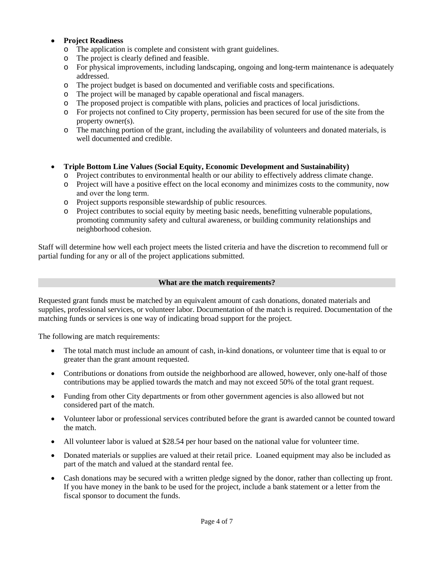# **Project Readiness**

- o The application is complete and consistent with grant guidelines.
- o The project is clearly defined and feasible.
- o For physical improvements, including landscaping, ongoing and long-term maintenance is adequately addressed.
- o The project budget is based on documented and verifiable costs and specifications.
- o The project will be managed by capable operational and fiscal managers.
- o The proposed project is compatible with plans, policies and practices of local jurisdictions.
- o For projects not confined to City property, permission has been secured for use of the site from the property owner(s).
- o The matching portion of the grant, including the availability of volunteers and donated materials, is well documented and credible.
- **Triple Bottom Line Values (Social Equity, Economic Development and Sustainability)**
	- o Project contributes to environmental health or our ability to effectively address climate change.
	- o Project will have a positive effect on the local economy and minimizes costs to the community, now and over the long term.
	- o Project supports responsible stewardship of public resources.
	- o Project contributes to social equity by meeting basic needs, benefitting vulnerable populations, promoting community safety and cultural awareness, or building community relationships and neighborhood cohesion.

Staff will determine how well each project meets the listed criteria and have the discretion to recommend full or partial funding for any or all of the project applications submitted.

#### **What are the match requirements?**

Requested grant funds must be matched by an equivalent amount of cash donations, donated materials and supplies, professional services, or volunteer labor. Documentation of the match is required. Documentation of the matching funds or services is one way of indicating broad support for the project.

The following are match requirements:

- The total match must include an amount of cash, in-kind donations, or volunteer time that is equal to or greater than the grant amount requested.
- Contributions or donations from outside the neighborhood are allowed, however, only one-half of those contributions may be applied towards the match and may not exceed 50% of the total grant request.
- Funding from other City departments or from other government agencies is also allowed but not considered part of the match.
- Volunteer labor or professional services contributed before the grant is awarded cannot be counted toward the match.
- All volunteer labor is valued at \$28.54 per hour based on the national value for volunteer time.
- Donated materials or supplies are valued at their retail price. Loaned equipment may also be included as part of the match and valued at the standard rental fee.
- Cash donations may be secured with a written pledge signed by the donor, rather than collecting up front. If you have money in the bank to be used for the project, include a bank statement or a letter from the fiscal sponsor to document the funds.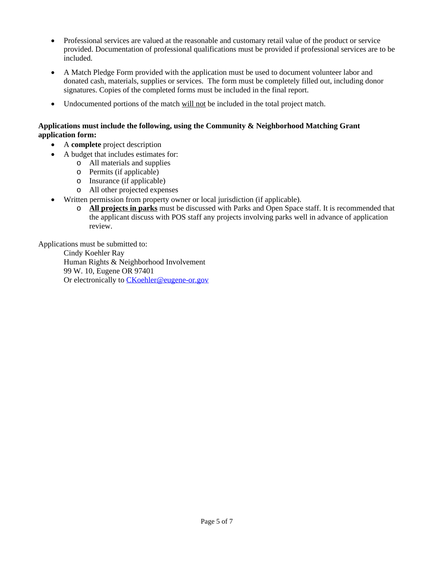- Professional services are valued at the reasonable and customary retail value of the product or service provided. Documentation of professional qualifications must be provided if professional services are to be included.
- A Match Pledge Form provided with the application must be used to document volunteer labor and donated cash, materials, supplies or services. The form must be completely filled out, including donor signatures. Copies of the completed forms must be included in the final report.
- Undocumented portions of the match will not be included in the total project match.

# **Applications must include the following, using the Community & Neighborhood Matching Grant application form:**

- A **complete** project description
- A budget that includes estimates for:
	- o All materials and supplies
	- o Permits (if applicable)
	- o Insurance (if applicable)
	- o All other projected expenses
- Written permission from property owner or local jurisdiction (if applicable).
	- o **All projects in parks** must be discussed with Parks and Open Space staff. It is recommended that the applicant discuss with POS staff any projects involving parks well in advance of application review.

Applications must be submitted to:

Cindy Koehler Ray Human Rights & Neighborhood Involvement 99 W. 10, Eugene OR 97401 Or electronically to [CKoehler@eugene-or.gov](mailto:CKoehler@eugene-or.gov)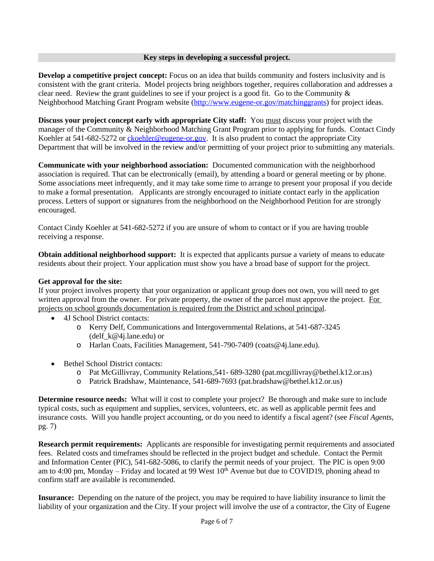#### **Key steps in developing a successful project.**

**Develop a competitive project concept:** Focus on an idea that builds community and fosters inclusivity and is consistent with the grant criteria. Model projects bring neighbors together, requires collaboration and addresses a clear need. Review the grant guidelines to see if your project is a good fit. Go to the Community  $\&$ Neighborhood Matching Grant Program website ([http://www.eugene-or.gov/matchinggrants\) for project ideas.](http://www.eugene-or.gov/matchinggrants)

**[Discuss your project concept early with appropriate City staff:](http://www.eugene-or.gov/matchinggrants)** [You must discuss your project with the](http://www.eugene-or.gov/matchinggrants)  [manager of the](http://www.eugene-or.gov/matchinggrants) [Community & Neighborhood Matching Grant Program prior to applying for funds. Contact Cindy](http://www.eugene-or.gov/matchinggrants) [Koehler at](http://www.eugene-or.gov/matchinggrants) [541-682-5272 or](http://www.eugene-or.gov/matchinggrants) ckoehler@eugene-or.gov. It is also prudent to contact the appropriate City [Department that will be involved in the review and/or permitting of your project prior to submitting any materials.](mailto:ckoehler@eugene-or.gov)

**[Communicate with your neighborhood association:](mailto:ckoehler@eugene-or.gov)** [Documented communication with the neighborhood](mailto:ckoehler@eugene-or.gov)  [association is required. That can be electronically \(email\), by attending a board or general meeting or by phone.](mailto:ckoehler@eugene-or.gov)  [Some associations meet infrequently, and it may take some time to arrange to present your proposal if you decide](mailto:ckoehler@eugene-or.gov)  [to make a formal presentation. Applicants are strongly encouraged to initiate contact early in the application](mailto:ckoehler@eugene-or.gov)  [process.](mailto:ckoehler@eugene-or.gov) [Letters of support or signatures from the](mailto:ckoehler@eugene-or.gov) [neighborhood on the Neighborhood Petition for are strongly](mailto:ckoehler@eugene-or.gov)  [encouraged.](mailto:ckoehler@eugene-or.gov)

[Contact Cindy Koehler at 541-682-5272 if you are unsure of whom to contact or if you are having trouble](mailto:ckoehler@eugene-or.gov) [receiving a response.](mailto:ckoehler@eugene-or.gov)

**[Obtain additional neighborhood support:](mailto:ckoehler@eugene-or.gov)** [It is expected that applicants pursue a variety of means to educate](mailto:ckoehler@eugene-or.gov)  [residents about their project. Your application must show you have a broad base of support for the project.](mailto:ckoehler@eugene-or.gov)

#### **[Get approval for](mailto:ckoehler@eugene-or.gov) [the site:](mailto:ckoehler@eugene-or.gov)**

[If your project involves property that your organization or applicant group does not own, you will need to get](mailto:ckoehler@eugene-or.gov)  [written approval](mailto:ckoehler@eugene-or.gov) from the owner. For private property, the owner of the parcel must approve the project. For [projects on school grounds documentation is required from the District and school principal.](mailto:ckoehler@eugene-or.gov)

- [4J School District contacts:](mailto:ckoehler@eugene-or.gov)
	- o [Kerry Delf, Communications and Intergovernmental Relations, at 541-687-3245](mailto:ckoehler@eugene-or.gov)  (delf  $k@4$ j.lane.edu) or
	- o [Harlan Coats, Facilities Management, 541-790-7409 \(coats@4j.lane.edu\).](mailto:ckoehler@eugene-or.gov)
- [Bethel School District contacts:](mailto:ckoehler@eugene-or.gov)
	- o [Pat McGillivray, Community Relations,541- 689-3280 \(pat.mcgillivray@bethel.k12.or.us\)](mailto:ckoehler@eugene-or.gov)
	- o [Patrick Bradshaw, Maintenance, 541-689-7693 \(pat.bradshaw@bethel.k12.or.us\)](mailto:ckoehler@eugene-or.gov)

**Determine resource needs:** What will it cost to complete your project? Be thorough and make sure to include [typical costs, such as equipment and supplies, services, volunteers, etc. as well as applicable permit fees and](mailto:ckoehler@eugene-or.gov)  [insurance costs. Will you handle project accounting, or do you need to identify a fiscal agent? \(see](mailto:ckoehler@eugene-or.gov) *[Fiscal Agents](mailto:ckoehler@eugene-or.gov)*[,](mailto:ckoehler@eugene-or.gov) [pg. 7\)](mailto:ckoehler@eugene-or.gov)

**[Research permit requirements:](mailto:ckoehler@eugene-or.gov)** [Applicants are responsible for investigating permit requirements and associated](mailto:ckoehler@eugene-or.gov) [fees. Related costs and](mailto:ckoehler@eugene-or.gov) [timeframes should be reflected in the project budget and schedule. Contact the Permit](mailto:ckoehler@eugene-or.gov)  [and Information Center \(PIC\), 541-682-5086, to clarify the permit needs of your project. The PIC is open 9:00](mailto:ckoehler@eugene-or.gov)  [am to 4:00 pm,](mailto:ckoehler@eugene-or.gov) Monday – [Friday and located at 99 West 10](mailto:ckoehler@eugene-or.gov)<sup>[th](mailto:ckoehler@eugene-or.gov)</sup> [Avenue but due to COVID19,](mailto:ckoehler@eugene-or.gov) phoning ahead to [confirm staff are](mailto:ckoehler@eugene-or.gov) [available is recommended.](mailto:ckoehler@eugene-or.gov)

**[Insurance:](mailto:ckoehler@eugene-or.gov)** [Depending on the nature of the project, you may be required to have liability insurance to limit the](mailto:ckoehler@eugene-or.gov)  [liability of your organization and the City. If your project will involve the use of a contractor, the City of Eugene](mailto:ckoehler@eugene-or.gov)